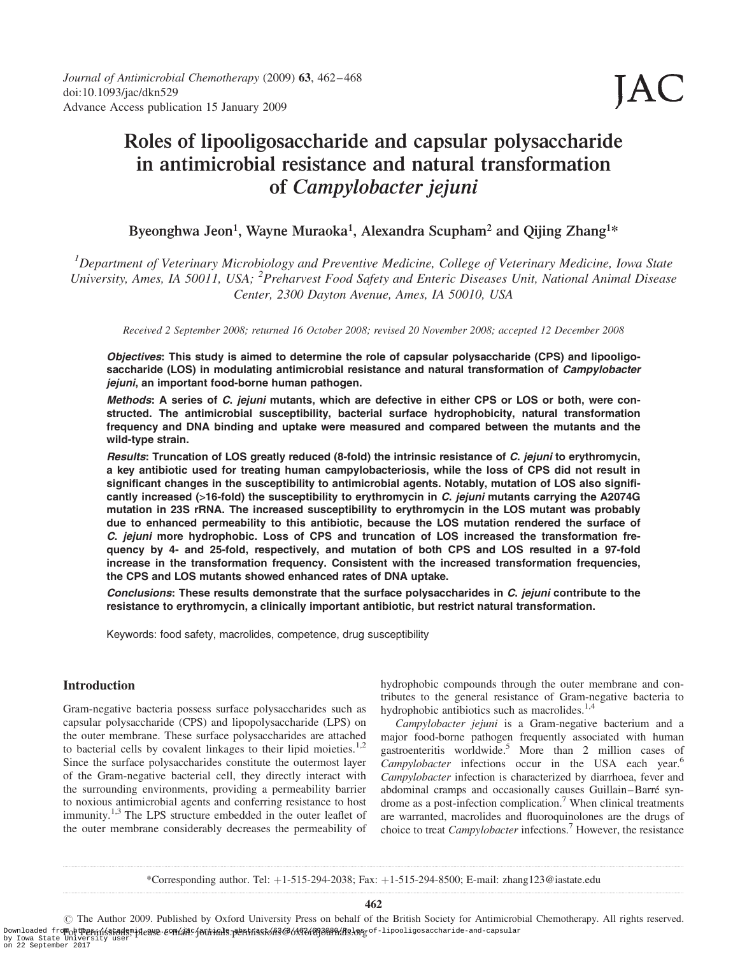# Roles of lipooligosaccharide and capsular polysaccharide in antimicrobial resistance and natural transformation of Campylobacter jejuni

## Byeonghwa Jeon<sup>1</sup>, Wayne Muraoka<sup>1</sup>, Alexandra Scupham<sup>2</sup> and Qijing Zhang<sup>1\*</sup>

<sup>1</sup>Department of Veterinary Microbiology and Preventive Medicine, College of Veterinary Medicine, Iowa State University, Ames, IA 50011, USA; <sup>2</sup>Preharvest Food Safety and Enteric Diseases Unit, National Animal Disease Center, 2300 Dayton Avenue, Ames, IA 50010, USA

Received 2 September 2008; returned 16 October 2008; revised 20 November 2008; accepted 12 December 2008

Objectives: This study is aimed to determine the role of capsular polysaccharide (CPS) and lipooligosaccharide (LOS) in modulating antimicrobial resistance and natural transformation of Campylobacter jejuni, an important food-borne human pathogen.

Methods: A series of C. jejuni mutants, which are defective in either CPS or LOS or both, were constructed. The antimicrobial susceptibility, bacterial surface hydrophobicity, natural transformation frequency and DNA binding and uptake were measured and compared between the mutants and the wild-type strain.

Results: Truncation of LOS greatly reduced (8-fold) the intrinsic resistance of C. jejuni to erythromycin, a key antibiotic used for treating human campylobacteriosis, while the loss of CPS did not result in significant changes in the susceptibility to antimicrobial agents. Notably, mutation of LOS also significantly increased (>16-fold) the susceptibility to erythromycin in C. jejuni mutants carrying the A2074G mutation in 23S rRNA. The increased susceptibility to erythromycin in the LOS mutant was probably due to enhanced permeability to this antibiotic, because the LOS mutation rendered the surface of C. jejuni more hydrophobic. Loss of CPS and truncation of LOS increased the transformation frequency by 4- and 25-fold, respectively, and mutation of both CPS and LOS resulted in a 97-fold increase in the transformation frequency. Consistent with the increased transformation frequencies, the CPS and LOS mutants showed enhanced rates of DNA uptake.

Conclusions: These results demonstrate that the surface polysaccharides in C. jejuni contribute to the resistance to erythromycin, a clinically important antibiotic, but restrict natural transformation.

Keywords: food safety, macrolides, competence, drug susceptibility

## Introduction

Gram-negative bacteria possess surface polysaccharides such as capsular polysaccharide (CPS) and lipopolysaccharide (LPS) on the outer membrane. These surface polysaccharides are attached to bacterial cells by covalent linkages to their lipid moieties.<sup>1,2</sup> Since the surface polysaccharides constitute the outermost layer of the Gram-negative bacterial cell, they directly interact with the surrounding environments, providing a permeability barrier to noxious antimicrobial agents and conferring resistance to host immunity.<sup>1,3</sup> The LPS structure embedded in the outer leaflet of the outer membrane considerably decreases the permeability of hydrophobic compounds through the outer membrane and contributes to the general resistance of Gram-negative bacteria to hydrophobic antibiotics such as macrolides.<sup>1,4</sup>

Campylobacter jejuni is a Gram-negative bacterium and a major food-borne pathogen frequently associated with human gastroenteritis worldwide.5 More than 2 million cases of Campylobacter infections occur in the USA each year.<sup>6</sup> Campylobacter infection is characterized by diarrhoea, fever and abdominal cramps and occasionally causes Guillain-Barré syndrome as a post-infection complication.<sup>7</sup> When clinical treatments are warranted, macrolides and fluoroquinolones are the drugs of choice to treat Campylobacter infections.7 However, the resistance

\*Corresponding author. Tel: þ1-515-294-2038; Fax: þ1-515-294-8500; E-mail: zhang123@iastate.edu

462

 $\odot$  The Author 2009. Published by Oxford University Press on behalf of the British Society for Antimicrobial Chemotherapy. All rights reserved. Downloaded fro<mark>Folt中eninísions, perse connuits jourinls.pentrisskons@63f6f6f6f6f8ddfh&long</mark>of-lipooligosaccharide-and-capsular<br>by Iowa State University user<br>on 22 September 2017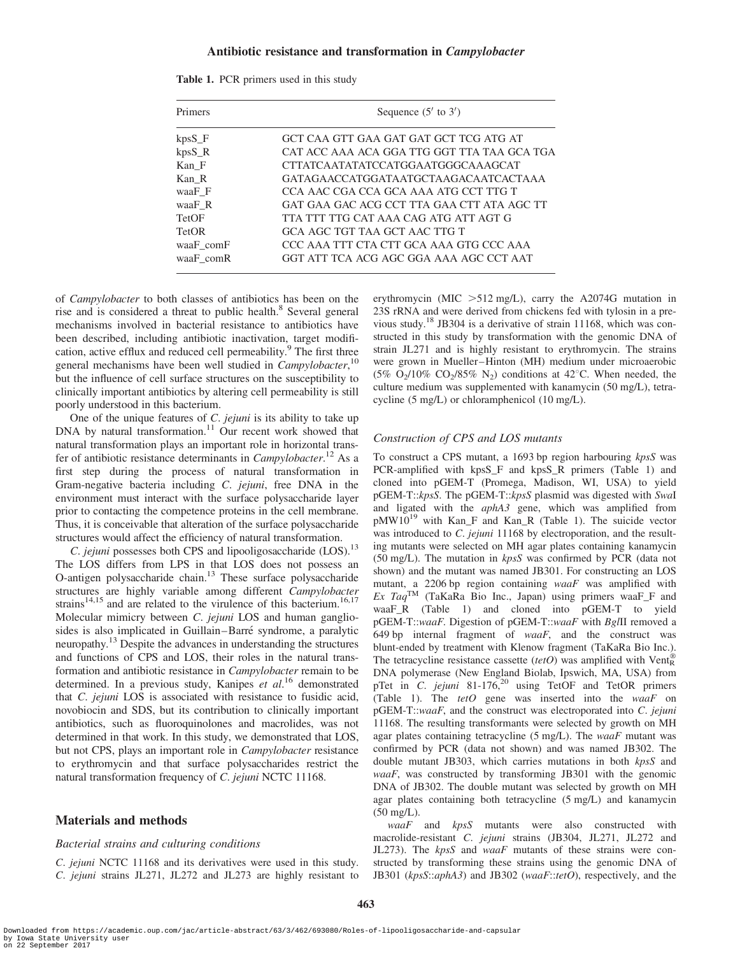## Antibiotic resistance and transformation in Campylobacter

| Primers   | Sequence $(5'$ to $3')$                     |  |  |  |
|-----------|---------------------------------------------|--|--|--|
| $kpsS_F$  | GCT CAA GTT GAA GAT GAT GCT TCG ATG AT      |  |  |  |
| $kpsS$ R  | CAT ACC AAA ACA GGA TTG GGT TTA TAA GCA TGA |  |  |  |
| Kan F     | CTTATCAATATATCCATGGAATGGGCAAAGCAT           |  |  |  |
| Kan R     | GATAGA ACCATGGATA ATGCTA AGACA ATCACTA A A  |  |  |  |
| waaF F    | CCA AAC CGA CCA GCA AAA ATG CCT TTG T       |  |  |  |
| waaF R    | GAT GAA GAC ACG CCT TTA GAA CTT ATA AGC TT  |  |  |  |
| TetOF     | TTA TTT TTG CAT AAA CAG ATG ATT AGT G       |  |  |  |
| TetOR     | GCA AGC TGT TAA GCT AAC TTG T               |  |  |  |
| waaF comF | CCC AAA TTT CTA CTT GCA AAA GTG CCC AAA     |  |  |  |
| waaF comR | GGT ATT TCA ACG AGC GGA AAA AGC CCT AAT     |  |  |  |

|  | Table 1. PCR primers used in this study |  |  |  |
|--|-----------------------------------------|--|--|--|
|--|-----------------------------------------|--|--|--|

of Campylobacter to both classes of antibiotics has been on the rise and is considered a threat to public health.<sup>8</sup> Several general mechanisms involved in bacterial resistance to antibiotics have been described, including antibiotic inactivation, target modification, active efflux and reduced cell permeability.<sup>9</sup> The first three general mechanisms have been well studied in Campylobacter,<sup>10</sup> but the influence of cell surface structures on the susceptibility to clinically important antibiotics by altering cell permeability is still poorly understood in this bacterium.

One of the unique features of *C. jejuni* is its ability to take up DNA by natural transformation.<sup>11</sup> Our recent work showed that natural transformation plays an important role in horizontal transfer of antibiotic resistance determinants in *Campylobacter*.<sup>12</sup> As a first step during the process of natural transformation in Gram-negative bacteria including C. jejuni, free DNA in the environment must interact with the surface polysaccharide layer prior to contacting the competence proteins in the cell membrane. Thus, it is conceivable that alteration of the surface polysaccharide structures would affect the efficiency of natural transformation.

C. jejuni possesses both CPS and lipooligosaccharide (LOS).<sup>13</sup> The LOS differs from LPS in that LOS does not possess an O-antigen polysaccharide chain. $13$  These surface polysaccharide structures are highly variable among different Campylobacter strains<sup>14,15</sup> and are related to the virulence of this bacterium.<sup>16,17</sup> Molecular mimicry between C. jejuni LOS and human gangliosides is also implicated in Guillain–Barré syndrome, a paralytic neuropathy.13 Despite the advances in understanding the structures and functions of CPS and LOS, their roles in the natural transformation and antibiotic resistance in Campylobacter remain to be determined. In a previous study, Kanipes et al.<sup>16</sup> demonstrated that C. jejuni LOS is associated with resistance to fusidic acid, novobiocin and SDS, but its contribution to clinically important antibiotics, such as fluoroquinolones and macrolides, was not determined in that work. In this study, we demonstrated that LOS, but not CPS, plays an important role in Campylobacter resistance to erythromycin and that surface polysaccharides restrict the natural transformation frequency of C. jejuni NCTC 11168.

## Materials and methods

## Bacterial strains and culturing conditions

C. jejuni NCTC 11168 and its derivatives were used in this study. C. jejuni strains JL271, JL272 and JL273 are highly resistant to erythromycin (MIC  $>512$  mg/L), carry the A2074G mutation in 23S rRNA and were derived from chickens fed with tylosin in a previous study.18 JB304 is a derivative of strain 11168, which was constructed in this study by transformation with the genomic DNA of strain JL271 and is highly resistant to erythromycin. The strains were grown in Mueller–Hinton (MH) medium under microaerobic (5% O<sub>2</sub>/10% CO<sub>2</sub>/85% N<sub>2</sub>) conditions at 42°C. When needed, the culture medium was supplemented with kanamycin (50 mg/L), tetracycline (5 mg/L) or chloramphenicol (10 mg/L).

#### Construction of CPS and LOS mutants

To construct a CPS mutant, a 1693 bp region harbouring kpsS was PCR-amplified with kpsS\_F and kpsS\_R primers (Table 1) and cloned into pGEM-T (Promega, Madison, WI, USA) to yield pGEM-T::kpsS. The pGEM-T::kpsS plasmid was digested with SwaI and ligated with the *aphA3* gene, which was amplified from pMW10<sup>19</sup> with Kan\_F and Kan\_R (Table 1). The suicide vector was introduced to *C. jejuni* 11168 by electroporation, and the resulting mutants were selected on MH agar plates containing kanamycin (50 mg/L). The mutation in kpsS was confirmed by PCR (data not shown) and the mutant was named JB301. For constructing an LOS mutant, a 2206 bp region containing waaF was amplified with Ex TaqTM (TaKaRa Bio Inc., Japan) using primers waaF\_F and waaF\_R (Table 1) and cloned into pGEM-T to yield pGEM-T::waaF. Digestion of pGEM-T::waaF with BglII removed a 649 bp internal fragment of  $waaF$ , and the construct was blunt-ended by treatment with Klenow fragment (TaKaRa Bio Inc.). The tetracycline resistance cassette (tetO) was amplified with Vent<sup>®</sup><sub>R</sub> DNA polymerase (New England Biolab, Ipswich, MA, USA) from pTet in C. jejuni 81-176,<sup>20</sup> using TetOF and TetOR primers (Table 1). The tetO gene was inserted into the waaF on pGEM-T::waaF, and the construct was electroporated into C. jejuni 11168. The resulting transformants were selected by growth on MH agar plates containing tetracycline  $(5 \text{ mg/L})$ . The *waaF* mutant was confirmed by PCR (data not shown) and was named JB302. The double mutant JB303, which carries mutations in both kpsS and waaF, was constructed by transforming JB301 with the genomic DNA of JB302. The double mutant was selected by growth on MH agar plates containing both tetracycline (5 mg/L) and kanamycin (50 mg/L).

waaF and kpsS mutants were also constructed with macrolide-resistant C. jejuni strains (JB304, JL271, JL272 and JL273). The  $kpsS$  and  $waaF$  mutants of these strains were constructed by transforming these strains using the genomic DNA of JB301 (kpsS::aphA3) and JB302 (waaF::tetO), respectively, and the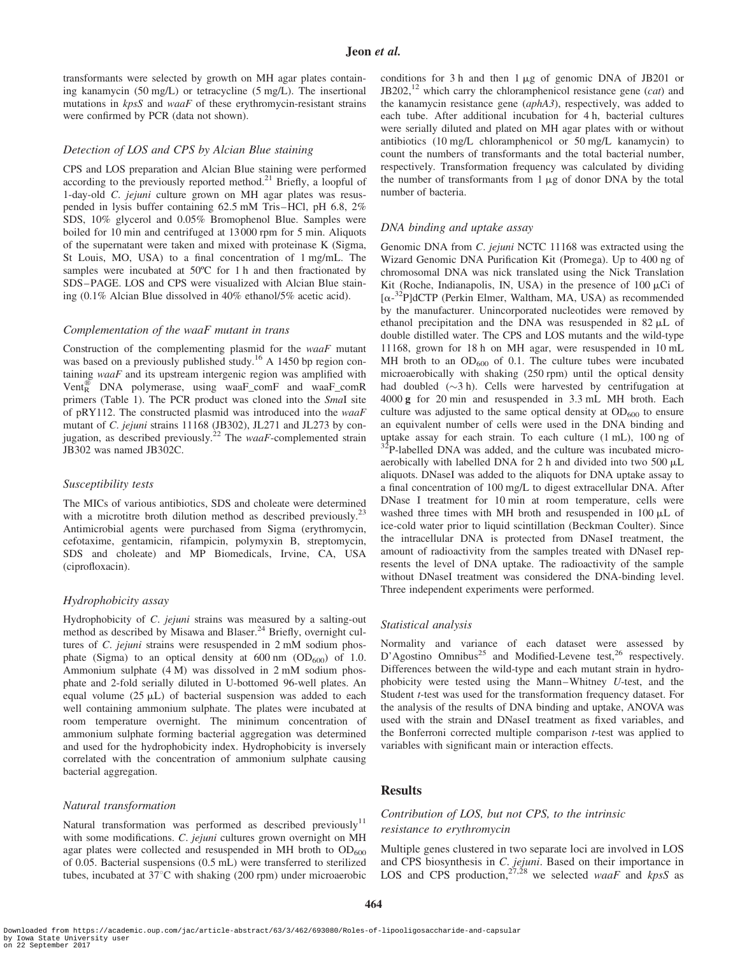transformants were selected by growth on MH agar plates containing kanamycin (50 mg/L) or tetracycline (5 mg/L). The insertional mutations in kpsS and waaF of these erythromycin-resistant strains were confirmed by PCR (data not shown).

#### Detection of LOS and CPS by Alcian Blue staining

CPS and LOS preparation and Alcian Blue staining were performed according to the previously reported method.<sup>21</sup> Briefly, a loopful of 1-day-old C. jejuni culture grown on MH agar plates was resuspended in lysis buffer containing 62.5 mM Tris–HCl, pH 6.8, 2% SDS, 10% glycerol and 0.05% Bromophenol Blue. Samples were boiled for 10 min and centrifuged at 13000 rpm for 5 min. Aliquots of the supernatant were taken and mixed with proteinase K (Sigma, St Louis, MO, USA) to a final concentration of 1 mg/mL. The samples were incubated at 50°C for 1 h and then fractionated by SDS–PAGE. LOS and CPS were visualized with Alcian Blue staining (0.1% Alcian Blue dissolved in 40% ethanol/5% acetic acid).

#### Complementation of the waaF mutant in trans

Construction of the complementing plasmid for the  $waaF$  mutant was based on a previously published study.<sup>16</sup> A 1450 bp region containing  $waaF$  and its upstream intergenic region was amplified with Vent<sup>®</sup> DNA polymerase, using waaF\_comF and waaF\_comR primers (Table 1). The PCR product was cloned into the SmaI site of pRY112. The constructed plasmid was introduced into the waaF mutant of C. jejuni strains 11168 (JB302), JL271 and JL273 by conjugation, as described previously.<sup>22</sup> The waaF-complemented strain JB302 was named JB302C.

#### Susceptibility tests

The MICs of various antibiotics, SDS and choleate were determined with a microtitre broth dilution method as described previously.<sup>23</sup> Antimicrobial agents were purchased from Sigma (erythromycin, cefotaxime, gentamicin, rifampicin, polymyxin B, streptomycin, SDS and choleate) and MP Biomedicals, Irvine, CA, USA (ciprofloxacin).

#### Hydrophobicity assay

Hydrophobicity of C. jejuni strains was measured by a salting-out method as described by Misawa and Blaser.<sup>24</sup> Briefly, overnight cultures of *C. jejuni* strains were resuspended in 2 mM sodium phosphate (Sigma) to an optical density at  $600 \text{ nm}$  (OD<sub>600</sub>) of 1.0. Ammonium sulphate (4 M) was dissolved in 2 mM sodium phosphate and 2-fold serially diluted in U-bottomed 96-well plates. An equal volume  $(25 \mu L)$  of bacterial suspension was added to each well containing ammonium sulphate. The plates were incubated at room temperature overnight. The minimum concentration of ammonium sulphate forming bacterial aggregation was determined and used for the hydrophobicity index. Hydrophobicity is inversely correlated with the concentration of ammonium sulphate causing bacterial aggregation.

## Natural transformation

Natural transformation was performed as described previously<sup>11</sup> with some modifications. C. jejuni cultures grown overnight on MH agar plates were collected and resuspended in MH broth to  $OD<sub>600</sub>$ of 0.05. Bacterial suspensions (0.5 mL) were transferred to sterilized tubes, incubated at 37°C with shaking (200 rpm) under microaerobic

conditions for 3 h and then  $1 \mu$ g of genomic DNA of JB201 or  $JB202$ ,<sup>12</sup> which carry the chloramphenicol resistance gene (*cat*) and the kanamycin resistance gene (aphA3), respectively, was added to each tube. After additional incubation for 4 h, bacterial cultures were serially diluted and plated on MH agar plates with or without antibiotics (10 mg/L chloramphenicol or 50 mg/L kanamycin) to count the numbers of transformants and the total bacterial number, respectively. Transformation frequency was calculated by dividing the number of transformants from  $1 \mu$ g of donor DNA by the total number of bacteria.

#### DNA binding and uptake assay

Genomic DNA from C. jejuni NCTC 11168 was extracted using the Wizard Genomic DNA Purification Kit (Promega). Up to 400 ng of chromosomal DNA was nick translated using the Nick Translation Kit (Roche, Indianapolis, IN, USA) in the presence of  $100 \mu$ Ci of [a-32P]dCTP (Perkin Elmer, Waltham, MA, USA) as recommended by the manufacturer. Unincorporated nucleotides were removed by ethanol precipitation and the DNA was resuspended in  $82 \mu L$  of double distilled water. The CPS and LOS mutants and the wild-type 11168, grown for 18 h on MH agar, were resuspended in 10 mL MH broth to an  $OD_{600}$  of 0.1. The culture tubes were incubated microaerobically with shaking (250 rpm) until the optical density had doubled  $(\sim 3 \text{ h})$ . Cells were harvested by centrifugation at 4000 g for 20 min and resuspended in 3.3 mL MH broth. Each culture was adjusted to the same optical density at  $OD_{600}$  to ensure an equivalent number of cells were used in the DNA binding and uptake assay for each strain. To each culture (1 mL), 100 ng of  $32^{32}P$ -labelled DNA was added, and the culture was incubated microaerobically with labelled DNA for 2 h and divided into two 500  $\mu$ L aliquots. DNaseI was added to the aliquots for DNA uptake assay to a final concentration of 100 mg/L to digest extracellular DNA. After DNase I treatment for 10 min at room temperature, cells were washed three times with MH broth and resuspended in  $100 \mu L$  of ice-cold water prior to liquid scintillation (Beckman Coulter). Since the intracellular DNA is protected from DNaseI treatment, the amount of radioactivity from the samples treated with DNaseI represents the level of DNA uptake. The radioactivity of the sample without DNaseI treatment was considered the DNA-binding level. Three independent experiments were performed.

#### Statistical analysis

Normality and variance of each dataset were assessed by D'Agostino Omnibus<sup>25</sup> and Modified-Levene test,<sup>26</sup> respectively. Differences between the wild-type and each mutant strain in hydrophobicity were tested using the Mann–Whitney U-test, and the Student *t*-test was used for the transformation frequency dataset. For the analysis of the results of DNA binding and uptake, ANOVA was used with the strain and DNaseI treatment as fixed variables, and the Bonferroni corrected multiple comparison t-test was applied to variables with significant main or interaction effects.

## **Results**

## Contribution of LOS, but not CPS, to the intrinsic resistance to erythromycin

Multiple genes clustered in two separate loci are involved in LOS and CPS biosynthesis in C. jejuni. Based on their importance in LOS and CPS production,<sup>27,28</sup> we selected *waaF* and *kpsS* as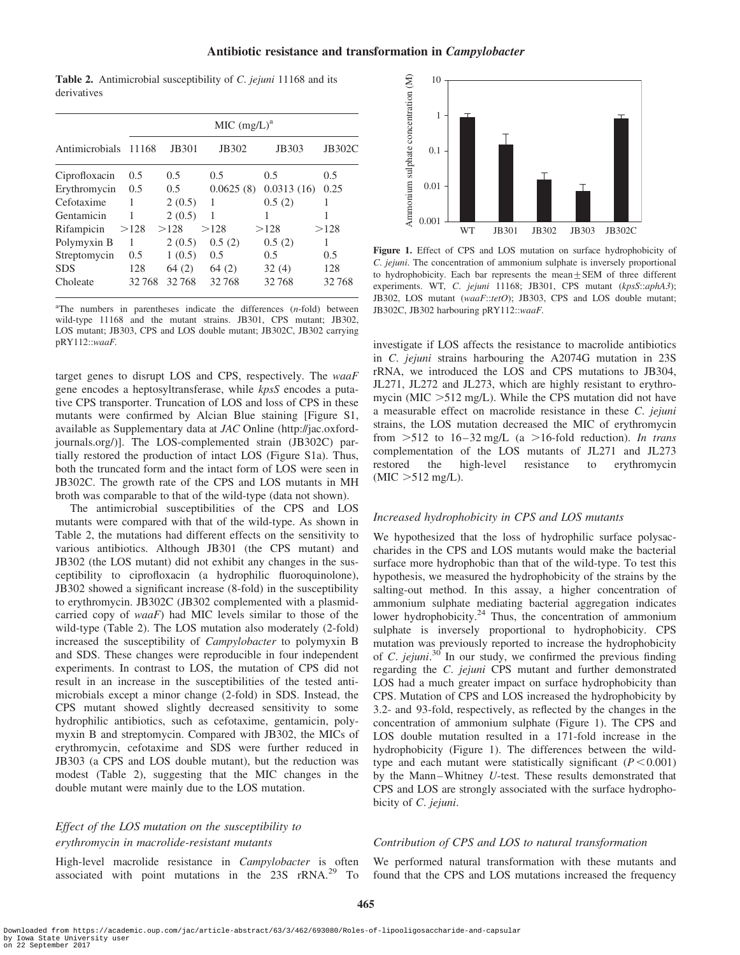Table 2. Antimicrobial susceptibility of C. jejuni 11168 and its derivatives

|                |       | MIC (mg/L) <sup>a</sup> |           |            |               |  |  |  |
|----------------|-------|-------------------------|-----------|------------|---------------|--|--|--|
| Antimicrobials | 11168 | JB301                   | JB302     | JB303      | <b>JB302C</b> |  |  |  |
| Ciprofloxacin  | 0.5   | 0.5                     | 0.5       | 0.5        | 0.5           |  |  |  |
| Erythromycin   | 0.5   | 0.5                     | 0.0625(8) | 0.0313(16) | 0.25          |  |  |  |
| Cefotaxime     |       | 2(0.5)                  | 1         | 0.5(2)     |               |  |  |  |
| Gentamicin     |       | 2(0.5)                  | 1         |            |               |  |  |  |
| Rifampicin     | >128  | >128                    | >128      | >128       | >128          |  |  |  |
| Polymyxin B    | 1     | 2(0.5)                  | 0.5(2)    | 0.5(2)     | 1             |  |  |  |
| Streptomycin   | 0.5   | 1(0.5)                  | 0.5       | 0.5        | 0.5           |  |  |  |
| <b>SDS</b>     | 128   | 64(2)                   | 64(2)     | 32(4)      | 128           |  |  |  |
| Choleate       | 32768 | 32768                   | 32768     | 32768      | 32768         |  |  |  |

 $n<sup>a</sup>$ The numbers in parentheses indicate the differences  $(n$ -fold) between wild-type 11168 and the mutant strains. JB301, CPS mutant; JB302, LOS mutant; JB303, CPS and LOS double mutant; JB302C, JB302 carrying pRY112::waaF.

target genes to disrupt LOS and CPS, respectively. The waaF gene encodes a heptosyltransferase, while kpsS encodes a putative CPS transporter. Truncation of LOS and loss of CPS in these mutants were confirmed by Alcian Blue staining [Figure S1, available as Supplementary data at JAC Online (http://jac.oxfordjournals.org/)]. The LOS-complemented strain (JB302C) partially restored the production of intact LOS (Figure S1a). Thus, both the truncated form and the intact form of LOS were seen in JB302C. The growth rate of the CPS and LOS mutants in MH broth was comparable to that of the wild-type (data not shown).

The antimicrobial susceptibilities of the CPS and LOS mutants were compared with that of the wild-type. As shown in Table 2, the mutations had different effects on the sensitivity to various antibiotics. Although JB301 (the CPS mutant) and JB302 (the LOS mutant) did not exhibit any changes in the susceptibility to ciprofloxacin (a hydrophilic fluoroquinolone), JB302 showed a significant increase (8-fold) in the susceptibility to erythromycin. JB302C (JB302 complemented with a plasmidcarried copy of waaF) had MIC levels similar to those of the wild-type (Table 2). The LOS mutation also moderately (2-fold) increased the susceptibility of Campylobacter to polymyxin B and SDS. These changes were reproducible in four independent experiments. In contrast to LOS, the mutation of CPS did not result in an increase in the susceptibilities of the tested antimicrobials except a minor change (2-fold) in SDS. Instead, the CPS mutant showed slightly decreased sensitivity to some hydrophilic antibiotics, such as cefotaxime, gentamicin, polymyxin B and streptomycin. Compared with JB302, the MICs of erythromycin, cefotaxime and SDS were further reduced in JB303 (a CPS and LOS double mutant), but the reduction was modest (Table 2), suggesting that the MIC changes in the double mutant were mainly due to the LOS mutation.

## Effect of the LOS mutation on the susceptibility to erythromycin in macrolide-resistant mutants

High-level macrolide resistance in Campylobacter is often associated with point mutations in the 23S rRNA.<sup>29</sup> To



Figure 1. Effect of CPS and LOS mutation on surface hydrophobicity of C. jejuni. The concentration of ammonium sulphate is inversely proportional to hydrophobicity. Each bar represents the mean $\pm$ SEM of three different experiments. WT, C. jejuni 11168; JB301, CPS mutant (kpsS::aphA3); JB302, LOS mutant (waaF::tetO); JB303, CPS and LOS double mutant; JB302C, JB302 harbouring pRY112::waaF.

investigate if LOS affects the resistance to macrolide antibiotics in C. jejuni strains harbouring the A2074G mutation in 23S rRNA, we introduced the LOS and CPS mutations to JB304, JL271, JL272 and JL273, which are highly resistant to erythromycin (MIC  $>512$  mg/L). While the CPS mutation did not have a measurable effect on macrolide resistance in these C. jejuni strains, the LOS mutation decreased the MIC of erythromycin from  $>512$  to 16-32 mg/L (a  $>16$ -fold reduction). In trans complementation of the LOS mutants of JL271 and JL273 restored the high-level resistance to erythromycin  $(MIC > 512$  mg/L).

#### Increased hydrophobicity in CPS and LOS mutants

We hypothesized that the loss of hydrophilic surface polysaccharides in the CPS and LOS mutants would make the bacterial surface more hydrophobic than that of the wild-type. To test this hypothesis, we measured the hydrophobicity of the strains by the salting-out method. In this assay, a higher concentration of ammonium sulphate mediating bacterial aggregation indicates lower hydrophobicity.<sup>24</sup> Thus, the concentration of ammonium sulphate is inversely proportional to hydrophobicity. CPS mutation was previously reported to increase the hydrophobicity of C. jejuni.<sup>30</sup> In our study, we confirmed the previous finding regarding the C. jejuni CPS mutant and further demonstrated LOS had a much greater impact on surface hydrophobicity than CPS. Mutation of CPS and LOS increased the hydrophobicity by 3.2- and 93-fold, respectively, as reflected by the changes in the concentration of ammonium sulphate (Figure 1). The CPS and LOS double mutation resulted in a 171-fold increase in the hydrophobicity (Figure 1). The differences between the wildtype and each mutant were statistically significant  $(P < 0.001)$ by the Mann-Whitney U-test. These results demonstrated that CPS and LOS are strongly associated with the surface hydrophobicity of C. jejuni.

## Contribution of CPS and LOS to natural transformation

We performed natural transformation with these mutants and found that the CPS and LOS mutations increased the frequency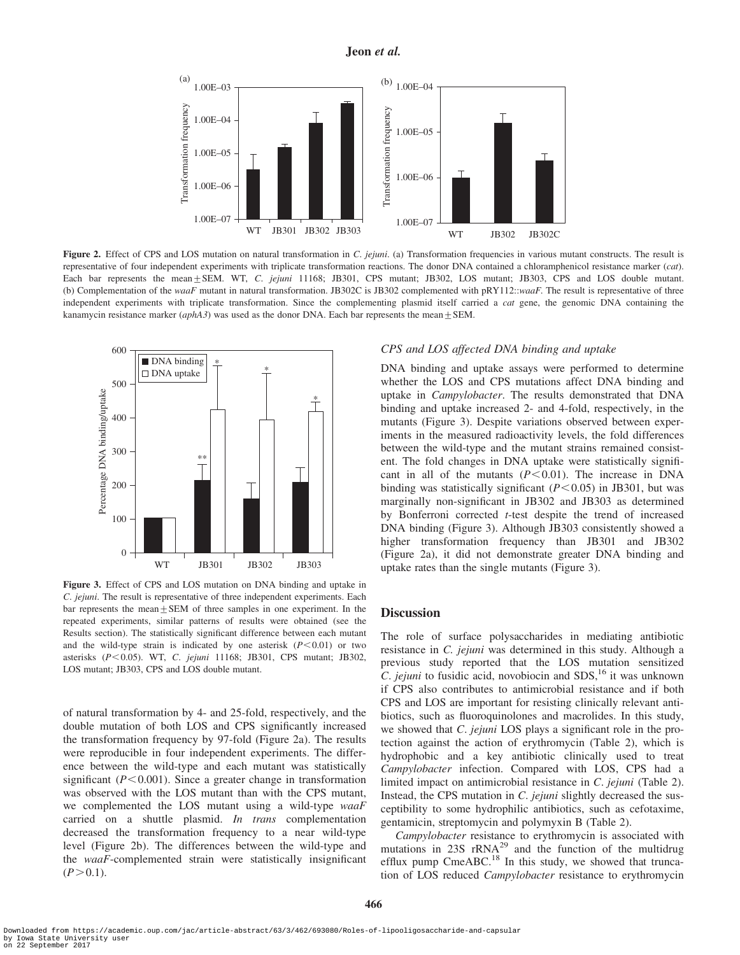

Figure 2. Effect of CPS and LOS mutation on natural transformation in  $C$ . *jejuni*. (a) Transformation frequencies in various mutant constructs. The result is representative of four independent experiments with triplicate transformation reactions. The donor DNA contained a chloramphenicol resistance marker (cat). Each bar represents the mean + SEM. WT, C. jejuni 11168; JB301, CPS mutant; JB302, LOS mutant; JB303, CPS and LOS double mutant. (b) Complementation of the waaF mutant in natural transformation. JB302C is JB302 complemented with pRY112::waaF. The result is representative of three independent experiments with triplicate transformation. Since the complementing plasmid itself carried a *cat* gene, the genomic DNA containing the kanamycin resistance marker (aphA3) was used as the donor DNA. Each bar represents the mean  $\pm$  SEM.



Figure 3. Effect of CPS and LOS mutation on DNA binding and uptake in C. jejuni. The result is representative of three independent experiments. Each bar represents the mean+SEM of three samples in one experiment. In the repeated experiments, similar patterns of results were obtained (see the Results section). The statistically significant difference between each mutant and the wild-type strain is indicated by one asterisk  $(P<0.01)$  or two asterisks (P<0.05). WT, C. jejuni 11168; JB301, CPS mutant; JB302, LOS mutant; JB303, CPS and LOS double mutant.

of natural transformation by 4- and 25-fold, respectively, and the double mutation of both LOS and CPS significantly increased the transformation frequency by 97-fold (Figure 2a). The results were reproducible in four independent experiments. The difference between the wild-type and each mutant was statistically significant ( $P < 0.001$ ). Since a greater change in transformation was observed with the LOS mutant than with the CPS mutant, we complemented the LOS mutant using a wild-type waaF carried on a shuttle plasmid. In trans complementation decreased the transformation frequency to a near wild-type level (Figure 2b). The differences between the wild-type and the waaF-complemented strain were statistically insignificant  $(P>0.1)$ .

## CPS and LOS affected DNA binding and uptake

DNA binding and uptake assays were performed to determine whether the LOS and CPS mutations affect DNA binding and uptake in Campylobacter. The results demonstrated that DNA binding and uptake increased 2- and 4-fold, respectively, in the mutants (Figure 3). Despite variations observed between experiments in the measured radioactivity levels, the fold differences between the wild-type and the mutant strains remained consistent. The fold changes in DNA uptake were statistically significant in all of the mutants  $(P<0.01)$ . The increase in DNA binding was statistically significant  $(P<0.05)$  in JB301, but was marginally non-significant in JB302 and JB303 as determined by Bonferroni corrected t-test despite the trend of increased DNA binding (Figure 3). Although JB303 consistently showed a higher transformation frequency than JB301 and JB302 (Figure 2a), it did not demonstrate greater DNA binding and uptake rates than the single mutants (Figure 3).

#### **Discussion**

The role of surface polysaccharides in mediating antibiotic resistance in C. jejuni was determined in this study. Although a previous study reported that the LOS mutation sensitized C. jejuni to fusidic acid, novobiocin and  $SDS$ ,<sup>16</sup> it was unknown if CPS also contributes to antimicrobial resistance and if both CPS and LOS are important for resisting clinically relevant antibiotics, such as fluoroquinolones and macrolides. In this study, we showed that C. jejuni LOS plays a significant role in the protection against the action of erythromycin (Table 2), which is hydrophobic and a key antibiotic clinically used to treat Campylobacter infection. Compared with LOS, CPS had a limited impact on antimicrobial resistance in C. jejuni (Table 2). Instead, the CPS mutation in C. jejuni slightly decreased the susceptibility to some hydrophilic antibiotics, such as cefotaxime, gentamicin, streptomycin and polymyxin B (Table 2).

Campylobacter resistance to erythromycin is associated with mutations in  $23S$  rRNA<sup>29</sup> and the function of the multidrug efflux pump CmeABC.<sup>18</sup> In this study, we showed that truncation of LOS reduced Campylobacter resistance to erythromycin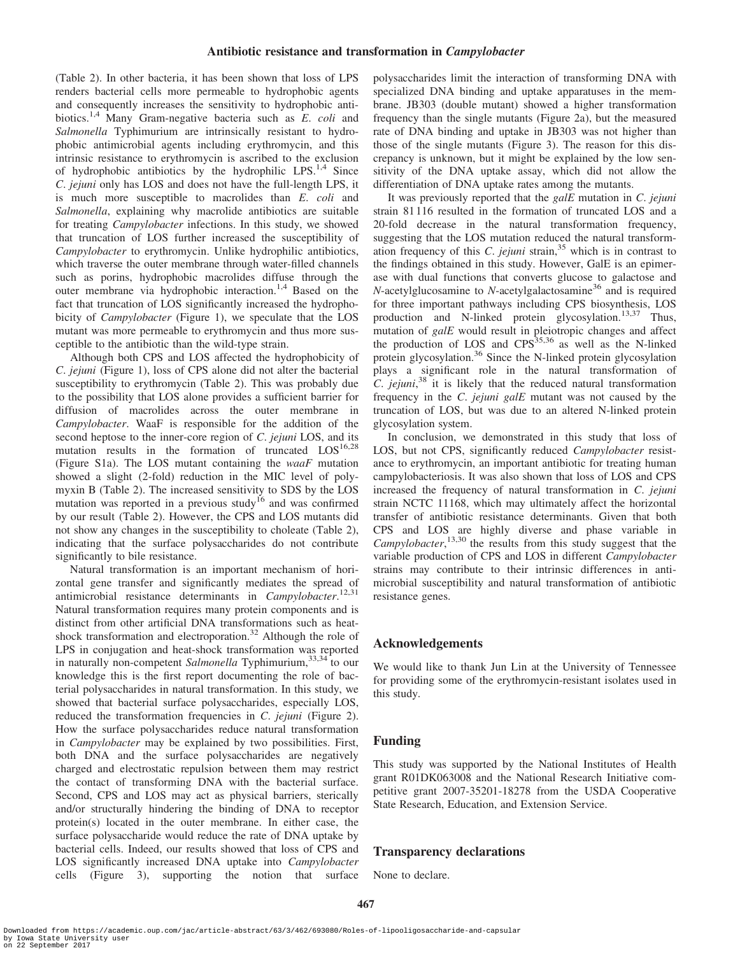## Antibiotic resistance and transformation in Campylobacter

(Table 2). In other bacteria, it has been shown that loss of LPS renders bacterial cells more permeable to hydrophobic agents and consequently increases the sensitivity to hydrophobic antibiotics.<sup>1,4</sup> Many Gram-negative bacteria such as E. coli and Salmonella Typhimurium are intrinsically resistant to hydrophobic antimicrobial agents including erythromycin, and this intrinsic resistance to erythromycin is ascribed to the exclusion of hydrophobic antibiotics by the hydrophilic LPS. $^{1,4}$  Since C. jejuni only has LOS and does not have the full-length LPS, it is much more susceptible to macrolides than E. coli and Salmonella, explaining why macrolide antibiotics are suitable for treating Campylobacter infections. In this study, we showed that truncation of LOS further increased the susceptibility of Campylobacter to erythromycin. Unlike hydrophilic antibiotics, which traverse the outer membrane through water-filled channels such as porins, hydrophobic macrolides diffuse through the outer membrane via hydrophobic interaction.<sup>1,4</sup> Based on the fact that truncation of LOS significantly increased the hydrophobicity of *Campylobacter* (Figure 1), we speculate that the LOS mutant was more permeable to erythromycin and thus more susceptible to the antibiotic than the wild-type strain.

Although both CPS and LOS affected the hydrophobicity of C. jejuni (Figure 1), loss of CPS alone did not alter the bacterial susceptibility to erythromycin (Table 2). This was probably due to the possibility that LOS alone provides a sufficient barrier for diffusion of macrolides across the outer membrane in Campylobacter. WaaF is responsible for the addition of the second heptose to the inner-core region of C. *jejuni* LOS, and its mutation results in the formation of truncated  $LOS^{16,28}$ (Figure S1a). The LOS mutant containing the waaF mutation showed a slight (2-fold) reduction in the MIC level of polymyxin B (Table 2). The increased sensitivity to SDS by the LOS mutation was reported in a previous study<sup>16</sup> and was confirmed by our result (Table 2). However, the CPS and LOS mutants did not show any changes in the susceptibility to choleate (Table 2), indicating that the surface polysaccharides do not contribute significantly to bile resistance.

Natural transformation is an important mechanism of horizontal gene transfer and significantly mediates the spread of antimicrobial resistance determinants in Campylobacter.<sup>12,31</sup> Natural transformation requires many protein components and is distinct from other artificial DNA transformations such as heatshock transformation and electroporation.<sup>32</sup> Although the role of LPS in conjugation and heat-shock transformation was reported in naturally non-competent Salmonella Typhimurium,  $33,34$  to our knowledge this is the first report documenting the role of bacterial polysaccharides in natural transformation. In this study, we showed that bacterial surface polysaccharides, especially LOS, reduced the transformation frequencies in C. jejuni (Figure 2). How the surface polysaccharides reduce natural transformation in Campylobacter may be explained by two possibilities. First, both DNA and the surface polysaccharides are negatively charged and electrostatic repulsion between them may restrict the contact of transforming DNA with the bacterial surface. Second, CPS and LOS may act as physical barriers, sterically and/or structurally hindering the binding of DNA to receptor protein(s) located in the outer membrane. In either case, the surface polysaccharide would reduce the rate of DNA uptake by bacterial cells. Indeed, our results showed that loss of CPS and LOS significantly increased DNA uptake into Campylobacter cells (Figure 3), supporting the notion that surface polysaccharides limit the interaction of transforming DNA with specialized DNA binding and uptake apparatuses in the membrane. JB303 (double mutant) showed a higher transformation frequency than the single mutants (Figure 2a), but the measured rate of DNA binding and uptake in JB303 was not higher than those of the single mutants (Figure 3). The reason for this discrepancy is unknown, but it might be explained by the low sensitivity of the DNA uptake assay, which did not allow the differentiation of DNA uptake rates among the mutants.

It was previously reported that the  $g \circ dE$  mutation in C. jejuni strain 81 116 resulted in the formation of truncated LOS and a 20-fold decrease in the natural transformation frequency, suggesting that the LOS mutation reduced the natural transformation frequency of this  $C$ . *jejuni* strain,  $35$  which is in contrast to the findings obtained in this study. However, GalE is an epimerase with dual functions that converts glucose to galactose and  $N$ -acetylglucosamine to  $N$ -acetylgalactosamine<sup>36</sup> and is required for three important pathways including CPS biosynthesis, LOS production and N-linked protein glycosylation.13,37 Thus, mutation of  $g$ alE would result in pleiotropic changes and affect the production of LOS and CPS<sup>35,36</sup> as well as the N-linked protein glycosylation.<sup>36</sup> Since the N-linked protein glycosylation plays a significant role in the natural transformation of  $\overline{C}$ . jejuni,<sup>38</sup> it is likely that the reduced natural transformation frequency in the C. jejuni galE mutant was not caused by the truncation of LOS, but was due to an altered N-linked protein glycosylation system.

In conclusion, we demonstrated in this study that loss of LOS, but not CPS, significantly reduced Campylobacter resistance to erythromycin, an important antibiotic for treating human campylobacteriosis. It was also shown that loss of LOS and CPS increased the frequency of natural transformation in C. jejuni strain NCTC 11168, which may ultimately affect the horizontal transfer of antibiotic resistance determinants. Given that both CPS and LOS are highly diverse and phase variable in Campylobacter,<sup>13,30</sup> the results from this study suggest that the variable production of CPS and LOS in different Campylobacter strains may contribute to their intrinsic differences in antimicrobial susceptibility and natural transformation of antibiotic resistance genes.

## Acknowledgements

We would like to thank Jun Lin at the University of Tennessee for providing some of the erythromycin-resistant isolates used in this study.

## Funding

This study was supported by the National Institutes of Health grant R01DK063008 and the National Research Initiative competitive grant 2007-35201-18278 from the USDA Cooperative State Research, Education, and Extension Service.

## Transparency declarations

None to declare.